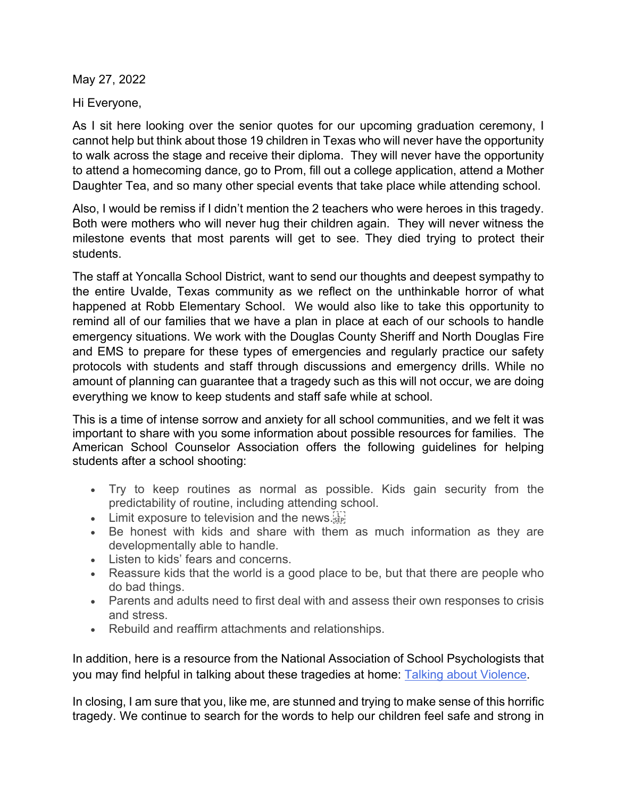May 27, 2022

Hi Everyone,

As I sit here looking over the senior quotes for our upcoming graduation ceremony, I cannot help but think about those 19 children in Texas who will never have the opportunity to walk across the stage and receive their diploma. They will never have the opportunity to attend a homecoming dance, go to Prom, fill out a college application, attend a Mother Daughter Tea, and so many other special events that take place while attending school.

Also, I would be remiss if I didn't mention the 2 teachers who were heroes in this tragedy. Both were mothers who will never hug their children again. They will never witness the milestone events that most parents will get to see. They died trying to protect their students.

The staff at Yoncalla School District, want to send our thoughts and deepest sympathy to the entire Uvalde, Texas community as we reflect on the unthinkable horror of what happened at Robb Elementary School. We would also like to take this opportunity to remind all of our families that we have a plan in place at each of our schools to handle emergency situations. We work with the Douglas County Sheriff and North Douglas Fire and EMS to prepare for these types of emergencies and regularly practice our safety protocols with students and staff through discussions and emergency drills. While no amount of planning can guarantee that a tragedy such as this will not occur, we are doing everything we know to keep students and staff safe while at school.

This is a time of intense sorrow and anxiety for all school communities, and we felt it was important to share with you some information about possible resources for families. The American School Counselor Association offers the following guidelines for helping students after a school shooting:

- Try to keep routines as normal as possible. Kids gain security from the predictability of routine, including attending school.
- $\bullet$  Limit exposure to television and the news.
- Be honest with kids and share with them as much information as they are developmentally able to handle.
- Listen to kids' fears and concerns.
- Reassure kids that the world is a good place to be, but that there are people who do bad things.
- Parents and adults need to first deal with and assess their own responses to crisis and stress.
- Rebuild and reaffirm attachments and relationships.

In addition, here is a resource from the National Association of School Psychologists that you may find helpful in talking about these tragedies at home: Talking about Violence.

In closing, I am sure that you, like me, are stunned and trying to make sense of this horrific tragedy. We continue to search for the words to help our children feel safe and strong in